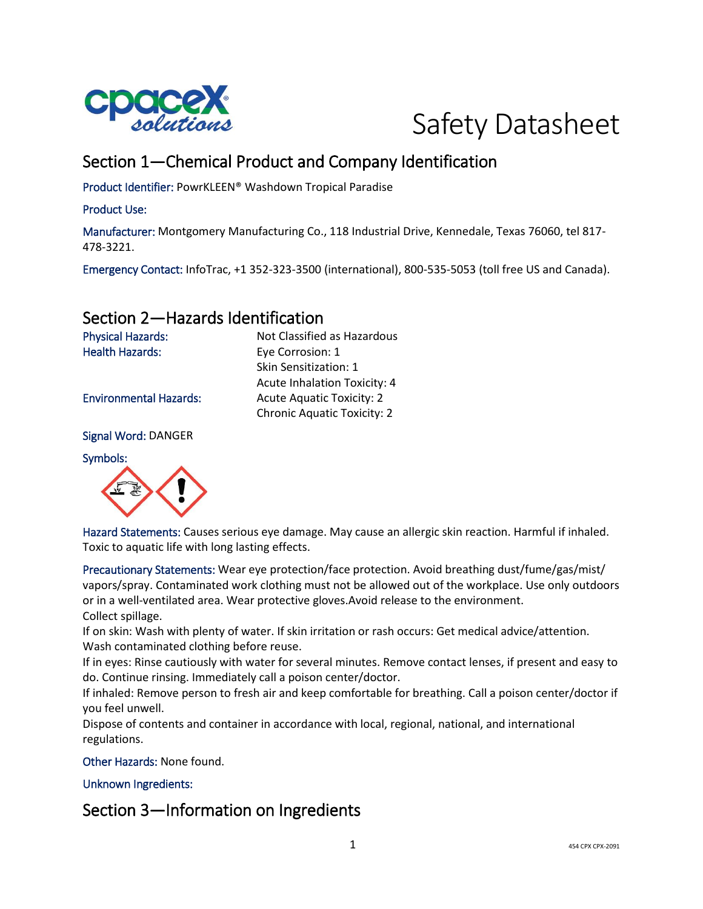



## Section 1—Chemical Product and Company Identification

Skin Sensitization: 1

Acute Inhalation Toxicity: 4

Chronic Aquatic Toxicity: 2

Product Identifier: PowrKLEEN® Washdown Tropical Paradise

#### Product Use:

Manufacturer: Montgomery Manufacturing Co., 118 Industrial Drive, Kennedale, Texas 76060, tel 817- 478-3221.

Emergency Contact: InfoTrac, +1 352-323-3500 (international), 800-535-5053 (toll free US and Canada).

## Section 2—Hazards Identification

Physical Hazards: Not Classified as Hazardous Health Hazards: Eye Corrosion: 1

Environmental Hazards: Acute Aquatic Toxicity: 2

Signal Word: DANGER

Symbols:



Hazard Statements: Causes serious eye damage. May cause an allergic skin reaction. Harmful if inhaled. Toxic to aquatic life with long lasting effects.

Precautionary Statements: Wear eye protection/face protection. Avoid breathing dust/fume/gas/mist/ vapors/spray. Contaminated work clothing must not be allowed out of the workplace. Use only outdoors or in a well-ventilated area. Wear protective gloves.Avoid release to the environment. Collect spillage.

If on skin: Wash with plenty of water. If skin irritation or rash occurs: Get medical advice/attention. Wash contaminated clothing before reuse.

If in eyes: Rinse cautiously with water for several minutes. Remove contact lenses, if present and easy to do. Continue rinsing. Immediately call a poison center/doctor.

If inhaled: Remove person to fresh air and keep comfortable for breathing. Call a poison center/doctor if you feel unwell.

Dispose of contents and container in accordance with local, regional, national, and international regulations.

Other Hazards: None found.

Unknown Ingredients:

## Section 3—Information on Ingredients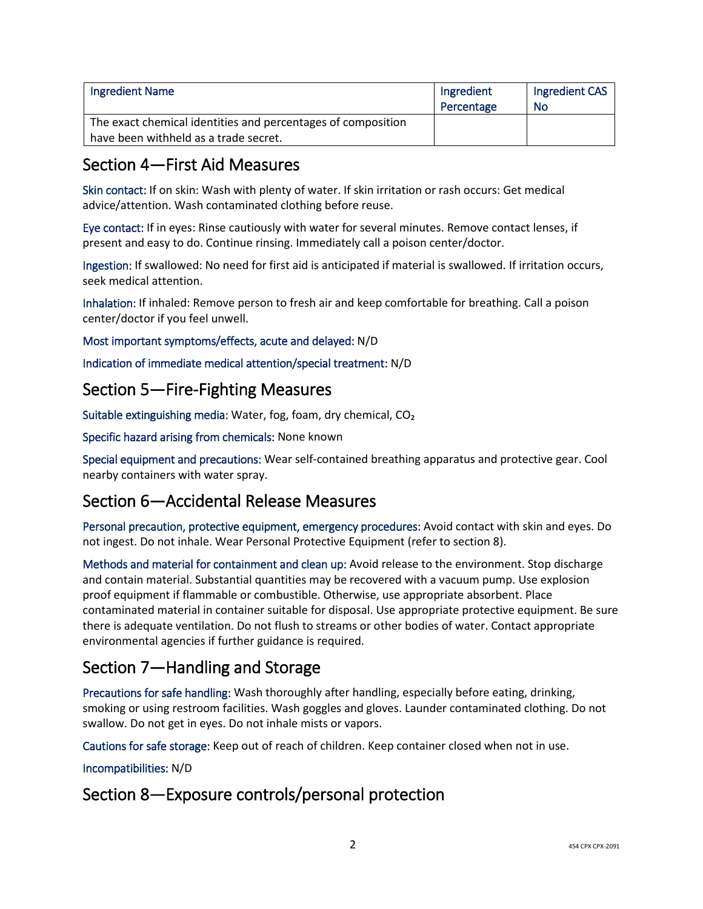| <b>Ingredient Name</b>                                       | Ingredient<br>Percentage | Ingredient CAS<br>No |
|--------------------------------------------------------------|--------------------------|----------------------|
| The exact chemical identities and percentages of composition |                          |                      |
| have been withheld as a trade secret.                        |                          |                      |

## Section 4—First Aid Measures

Skin contact: If on skin: Wash with plenty of water. If skin irritation or rash occurs: Get medical advice/attention. Wash contaminated clothing before reuse.

Eye contact: If in eyes: Rinse cautiously with water for several minutes. Remove contact lenses, if present and easy to do. Continue rinsing. Immediately call a poison center/doctor.

Ingestion: If swallowed: No need for first aid is anticipated if material is swallowed. If irritation occurs, seek medical attention.

Inhalation: If inhaled: Remove person to fresh air and keep comfortable for breathing. Call a poison center/doctor if you feel unwell.

Most important symptoms/effects, acute and delayed: N/D

Indication of immediate medical attention/special treatment: N/D

## Section 5—Fire-Fighting Measures

Suitable extinguishing media: Water, fog, foam, dry chemical, CO₂

Specific hazard arising from chemicals: None known

Special equipment and precautions: Wear self-contained breathing apparatus and protective gear. Cool nearby containers with water spray.

## Section 6—Accidental Release Measures

Personal precaution, protective equipment, emergency procedures: Avoid contact with skin and eyes. Do not ingest. Do not inhale. Wear Personal Protective Equipment (refer to section 8).

Methods and material for containment and clean up: Avoid release to the environment. Stop discharge and contain material. Substantial quantities may be recovered with a vacuum pump. Use explosion proof equipment if flammable or combustible. Otherwise, use appropriate absorbent. Place contaminated material in container suitable for disposal. Use appropriate protective equipment. Be sure there is adequate ventilation. Do not flush to streams or other bodies of water. Contact appropriate environmental agencies if further guidance is required.

## Section 7—Handling and Storage

Precautions for safe handling: Wash thoroughly after handling, especially before eating, drinking, smoking or using restroom facilities. Wash goggles and gloves. Launder contaminated clothing. Do not swallow. Do not get in eyes. Do not inhale mists or vapors.

Cautions for safe storage: Keep out of reach of children. Keep container closed when not in use.

Incompatibilities: N/D

## Section 8—Exposure controls/personal protection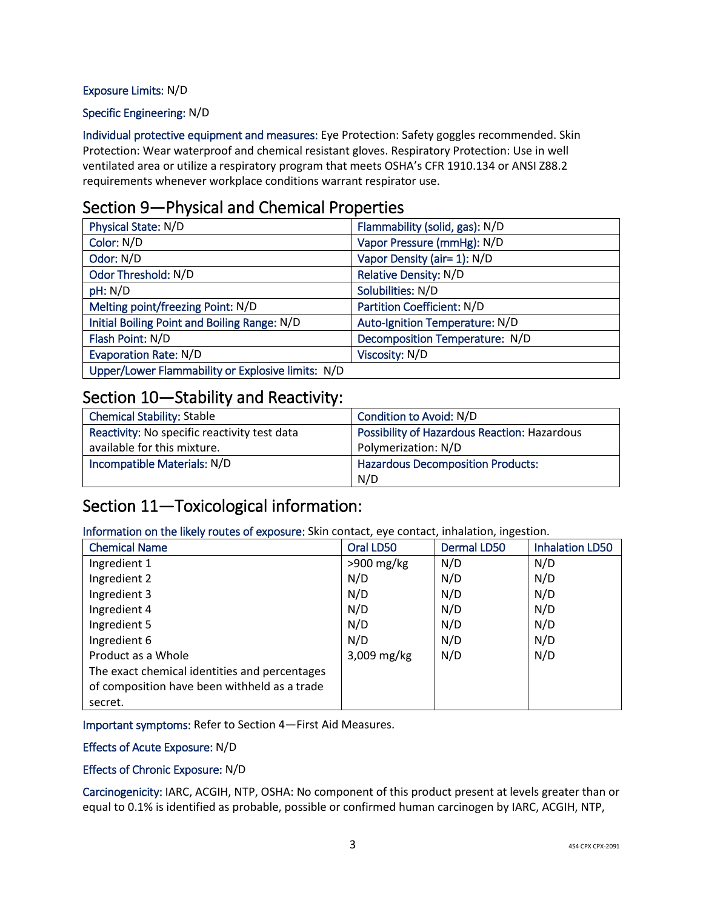#### Exposure Limits: N/D

#### Specific Engineering: N/D

Individual protective equipment and measures: Eye Protection: Safety goggles recommended. Skin Protection: Wear waterproof and chemical resistant gloves. Respiratory Protection: Use in well ventilated area or utilize a respiratory program that meets OSHA's CFR 1910.134 or ANSI Z88.2 requirements whenever workplace conditions warrant respirator use.

### Section 9—Physical and Chemical Properties

| Physical State: N/D                               | Flammability (solid, gas): N/D |
|---------------------------------------------------|--------------------------------|
| Color: N/D                                        | Vapor Pressure (mmHg): N/D     |
| Odor: N/D                                         | Vapor Density (air= 1): N/D    |
| Odor Threshold: N/D                               | <b>Relative Density: N/D</b>   |
| pH: N/D                                           | Solubilities: N/D              |
| Melting point/freezing Point: N/D                 | Partition Coefficient: N/D     |
| Initial Boiling Point and Boiling Range: N/D      | Auto-Ignition Temperature: N/D |
| Flash Point: N/D                                  | Decomposition Temperature: N/D |
| <b>Evaporation Rate: N/D</b>                      | Viscosity: N/D                 |
| Upper/Lower Flammability or Explosive limits: N/D |                                |

# Section 10—Stability and Reactivity:

| <b>Chemical Stability: Stable</b>            | Condition to Avoid: N/D                      |
|----------------------------------------------|----------------------------------------------|
| Reactivity: No specific reactivity test data | Possibility of Hazardous Reaction: Hazardous |
| available for this mixture.                  | Polymerization: N/D                          |
| Incompatible Materials: N/D                  | <b>Hazardous Decomposition Products:</b>     |
|                                              | N/D                                          |

## Section 11—Toxicological information:

Information on the likely routes of exposure: Skin contact, eye contact, inhalation, ingestion.

| <b>Chemical Name</b>                          | Oral LD50     | <b>Dermal LD50</b> | <b>Inhalation LD50</b> |
|-----------------------------------------------|---------------|--------------------|------------------------|
| Ingredient 1                                  | $>900$ mg/kg  | N/D                | N/D                    |
| Ingredient 2                                  | N/D           | N/D                | N/D                    |
| Ingredient 3                                  | N/D           | N/D                | N/D                    |
| Ingredient 4                                  | N/D           | N/D                | N/D                    |
| Ingredient 5                                  | N/D           | N/D                | N/D                    |
| Ingredient 6                                  | N/D           | N/D                | N/D                    |
| Product as a Whole                            | $3,009$ mg/kg | N/D                | N/D                    |
| The exact chemical identities and percentages |               |                    |                        |
| of composition have been withheld as a trade  |               |                    |                        |
| secret.                                       |               |                    |                        |

Important symptoms: Refer to Section 4—First Aid Measures.

#### Effects of Acute Exposure: N/D

#### Effects of Chronic Exposure: N/D

Carcinogenicity: IARC, ACGIH, NTP, OSHA: No component of this product present at levels greater than or equal to 0.1% is identified as probable, possible or confirmed human carcinogen by IARC, ACGIH, NTP,